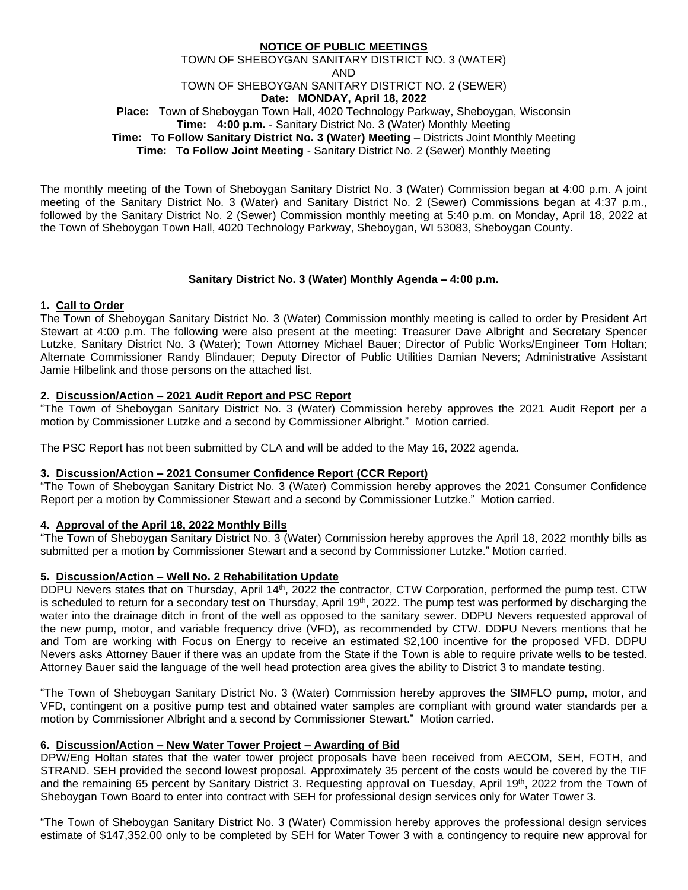## **NOTICE OF PUBLIC MEETINGS** TOWN OF SHEBOYGAN SANITARY DISTRICT NO. 3 (WATER) AND TOWN OF SHEBOYGAN SANITARY DISTRICT NO. 2 (SEWER) **Date: MONDAY, April 18, 2022 Place:** Town of Sheboygan Town Hall, 4020 Technology Parkway, Sheboygan, Wisconsin **Time: 4:00 p.m.** - Sanitary District No. 3 (Water) Monthly Meeting **Time: To Follow Sanitary District No. 3 (Water) Meeting** – Districts Joint Monthly Meeting **Time: To Follow Joint Meeting** - Sanitary District No. 2 (Sewer) Monthly Meeting

The monthly meeting of the Town of Sheboygan Sanitary District No. 3 (Water) Commission began at 4:00 p.m. A joint meeting of the Sanitary District No. 3 (Water) and Sanitary District No. 2 (Sewer) Commissions began at 4:37 p.m., followed by the Sanitary District No. 2 (Sewer) Commission monthly meeting at 5:40 p.m. on Monday, April 18, 2022 at the Town of Sheboygan Town Hall, 4020 Technology Parkway, Sheboygan, WI 53083, Sheboygan County.

## **Sanitary District No. 3 (Water) Monthly Agenda – 4:00 p.m.**

## **1. Call to Order**

The Town of Sheboygan Sanitary District No. 3 (Water) Commission monthly meeting is called to order by President Art Stewart at 4:00 p.m. The following were also present at the meeting: Treasurer Dave Albright and Secretary Spencer Lutzke, Sanitary District No. 3 (Water); Town Attorney Michael Bauer; Director of Public Works/Engineer Tom Holtan; Alternate Commissioner Randy Blindauer; Deputy Director of Public Utilities Damian Nevers; Administrative Assistant Jamie Hilbelink and those persons on the attached list.

## **2. Discussion/Action – 2021 Audit Report and PSC Report**

"The Town of Sheboygan Sanitary District No. 3 (Water) Commission hereby approves the 2021 Audit Report per a motion by Commissioner Lutzke and a second by Commissioner Albright." Motion carried.

The PSC Report has not been submitted by CLA and will be added to the May 16, 2022 agenda.

## **3. Discussion/Action – 2021 Consumer Confidence Report (CCR Report)**

"The Town of Sheboygan Sanitary District No. 3 (Water) Commission hereby approves the 2021 Consumer Confidence Report per a motion by Commissioner Stewart and a second by Commissioner Lutzke." Motion carried.

# **4. Approval of the April 18, 2022 Monthly Bills**

"The Town of Sheboygan Sanitary District No. 3 (Water) Commission hereby approves the April 18, 2022 monthly bills as submitted per a motion by Commissioner Stewart and a second by Commissioner Lutzke." Motion carried.

## **5. Discussion/Action – Well No. 2 Rehabilitation Update**

DDPU Nevers states that on Thursday, April 14<sup>th</sup>, 2022 the contractor, CTW Corporation, performed the pump test. CTW is scheduled to return for a secondary test on Thursday, April 19<sup>th</sup>, 2022. The pump test was performed by discharging the water into the drainage ditch in front of the well as opposed to the sanitary sewer. DDPU Nevers requested approval of the new pump, motor, and variable frequency drive (VFD), as recommended by CTW. DDPU Nevers mentions that he and Tom are working with Focus on Energy to receive an estimated \$2,100 incentive for the proposed VFD. DDPU Nevers asks Attorney Bauer if there was an update from the State if the Town is able to require private wells to be tested. Attorney Bauer said the language of the well head protection area gives the ability to District 3 to mandate testing.

"The Town of Sheboygan Sanitary District No. 3 (Water) Commission hereby approves the SIMFLO pump, motor, and VFD, contingent on a positive pump test and obtained water samples are compliant with ground water standards per a motion by Commissioner Albright and a second by Commissioner Stewart." Motion carried.

## **6. Discussion/Action – New Water Tower Project – Awarding of Bid**

DPW/Eng Holtan states that the water tower project proposals have been received from AECOM, SEH, FOTH, and STRAND. SEH provided the second lowest proposal. Approximately 35 percent of the costs would be covered by the TIF and the remaining 65 percent by Sanitary District 3. Requesting approval on Tuesday, April 19th, 2022 from the Town of Sheboygan Town Board to enter into contract with SEH for professional design services only for Water Tower 3.

"The Town of Sheboygan Sanitary District No. 3 (Water) Commission hereby approves the professional design services estimate of \$147,352.00 only to be completed by SEH for Water Tower 3 with a contingency to require new approval for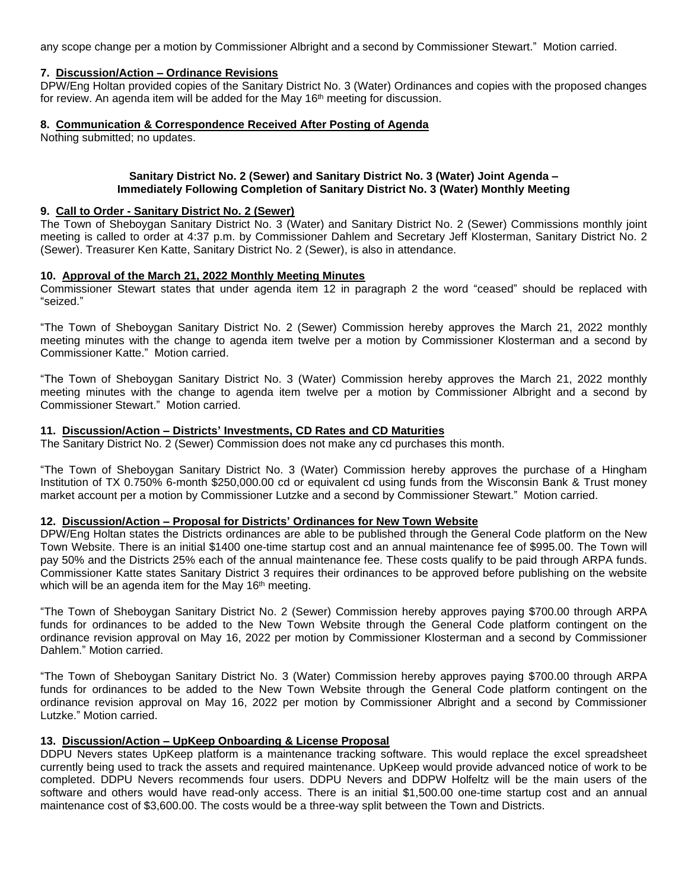any scope change per a motion by Commissioner Albright and a second by Commissioner Stewart." Motion carried.

## **7. Discussion/Action – Ordinance Revisions**

DPW/Eng Holtan provided copies of the Sanitary District No. 3 (Water) Ordinances and copies with the proposed changes for review. An agenda item will be added for the May 16<sup>th</sup> meeting for discussion.

## **8. Communication & Correspondence Received After Posting of Agenda**

Nothing submitted; no updates.

## **Sanitary District No. 2 (Sewer) and Sanitary District No. 3 (Water) Joint Agenda – Immediately Following Completion of Sanitary District No. 3 (Water) Monthly Meeting**

#### **9. Call to Order - Sanitary District No. 2 (Sewer)**

The Town of Sheboygan Sanitary District No. 3 (Water) and Sanitary District No. 2 (Sewer) Commissions monthly joint meeting is called to order at 4:37 p.m. by Commissioner Dahlem and Secretary Jeff Klosterman, Sanitary District No. 2 (Sewer). Treasurer Ken Katte, Sanitary District No. 2 (Sewer), is also in attendance.

## **10. Approval of the March 21, 2022 Monthly Meeting Minutes**

Commissioner Stewart states that under agenda item 12 in paragraph 2 the word "ceased" should be replaced with "seized."

"The Town of Sheboygan Sanitary District No. 2 (Sewer) Commission hereby approves the March 21, 2022 monthly meeting minutes with the change to agenda item twelve per a motion by Commissioner Klosterman and a second by Commissioner Katte." Motion carried.

"The Town of Sheboygan Sanitary District No. 3 (Water) Commission hereby approves the March 21, 2022 monthly meeting minutes with the change to agenda item twelve per a motion by Commissioner Albright and a second by Commissioner Stewart." Motion carried.

## **11. Discussion/Action – Districts' Investments, CD Rates and CD Maturities**

The Sanitary District No. 2 (Sewer) Commission does not make any cd purchases this month.

"The Town of Sheboygan Sanitary District No. 3 (Water) Commission hereby approves the purchase of a Hingham Institution of TX 0.750% 6-month \$250,000.00 cd or equivalent cd using funds from the Wisconsin Bank & Trust money market account per a motion by Commissioner Lutzke and a second by Commissioner Stewart." Motion carried.

## **12. Discussion/Action – Proposal for Districts' Ordinances for New Town Website**

DPW/Eng Holtan states the Districts ordinances are able to be published through the General Code platform on the New Town Website. There is an initial \$1400 one-time startup cost and an annual maintenance fee of \$995.00. The Town will pay 50% and the Districts 25% each of the annual maintenance fee. These costs qualify to be paid through ARPA funds. Commissioner Katte states Sanitary District 3 requires their ordinances to be approved before publishing on the website which will be an agenda item for the May 16<sup>th</sup> meeting.

"The Town of Sheboygan Sanitary District No. 2 (Sewer) Commission hereby approves paying \$700.00 through ARPA funds for ordinances to be added to the New Town Website through the General Code platform contingent on the ordinance revision approval on May 16, 2022 per motion by Commissioner Klosterman and a second by Commissioner Dahlem." Motion carried.

"The Town of Sheboygan Sanitary District No. 3 (Water) Commission hereby approves paying \$700.00 through ARPA funds for ordinances to be added to the New Town Website through the General Code platform contingent on the ordinance revision approval on May 16, 2022 per motion by Commissioner Albright and a second by Commissioner Lutzke." Motion carried.

## **13. Discussion/Action – UpKeep Onboarding & License Proposal**

DDPU Nevers states UpKeep platform is a maintenance tracking software. This would replace the excel spreadsheet currently being used to track the assets and required maintenance. UpKeep would provide advanced notice of work to be completed. DDPU Nevers recommends four users. DDPU Nevers and DDPW Holfeltz will be the main users of the software and others would have read-only access. There is an initial \$1,500.00 one-time startup cost and an annual maintenance cost of \$3,600.00. The costs would be a three-way split between the Town and Districts.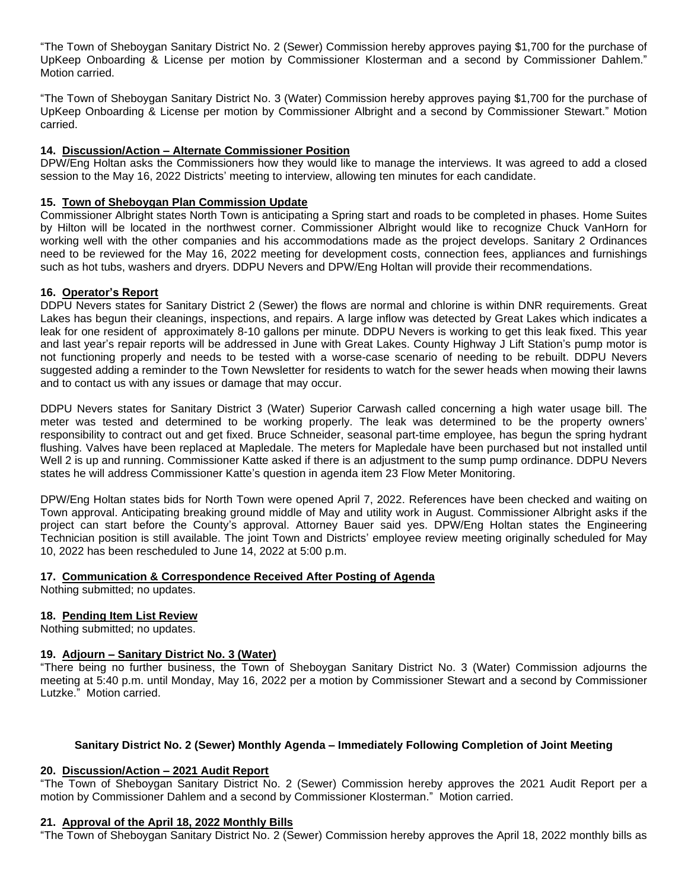"The Town of Sheboygan Sanitary District No. 2 (Sewer) Commission hereby approves paying \$1,700 for the purchase of UpKeep Onboarding & License per motion by Commissioner Klosterman and a second by Commissioner Dahlem." Motion carried.

"The Town of Sheboygan Sanitary District No. 3 (Water) Commission hereby approves paying \$1,700 for the purchase of UpKeep Onboarding & License per motion by Commissioner Albright and a second by Commissioner Stewart." Motion carried.

# **14. Discussion/Action – Alternate Commissioner Position**

DPW/Eng Holtan asks the Commissioners how they would like to manage the interviews. It was agreed to add a closed session to the May 16, 2022 Districts' meeting to interview, allowing ten minutes for each candidate.

## **15. Town of Sheboygan Plan Commission Update**

Commissioner Albright states North Town is anticipating a Spring start and roads to be completed in phases. Home Suites by Hilton will be located in the northwest corner. Commissioner Albright would like to recognize Chuck VanHorn for working well with the other companies and his accommodations made as the project develops. Sanitary 2 Ordinances need to be reviewed for the May 16, 2022 meeting for development costs, connection fees, appliances and furnishings such as hot tubs, washers and dryers. DDPU Nevers and DPW/Eng Holtan will provide their recommendations.

## **16. Operator's Report**

DDPU Nevers states for Sanitary District 2 (Sewer) the flows are normal and chlorine is within DNR requirements. Great Lakes has begun their cleanings, inspections, and repairs. A large inflow was detected by Great Lakes which indicates a leak for one resident of approximately 8-10 gallons per minute. DDPU Nevers is working to get this leak fixed. This year and last year's repair reports will be addressed in June with Great Lakes. County Highway J Lift Station's pump motor is not functioning properly and needs to be tested with a worse-case scenario of needing to be rebuilt. DDPU Nevers suggested adding a reminder to the Town Newsletter for residents to watch for the sewer heads when mowing their lawns and to contact us with any issues or damage that may occur.

DDPU Nevers states for Sanitary District 3 (Water) Superior Carwash called concerning a high water usage bill. The meter was tested and determined to be working properly. The leak was determined to be the property owners' responsibility to contract out and get fixed. Bruce Schneider, seasonal part-time employee, has begun the spring hydrant flushing. Valves have been replaced at Mapledale. The meters for Mapledale have been purchased but not installed until Well 2 is up and running. Commissioner Katte asked if there is an adjustment to the sump pump ordinance. DDPU Nevers states he will address Commissioner Katte's question in agenda item 23 Flow Meter Monitoring.

DPW/Eng Holtan states bids for North Town were opened April 7, 2022. References have been checked and waiting on Town approval. Anticipating breaking ground middle of May and utility work in August. Commissioner Albright asks if the project can start before the County's approval. Attorney Bauer said yes. DPW/Eng Holtan states the Engineering Technician position is still available. The joint Town and Districts' employee review meeting originally scheduled for May 10, 2022 has been rescheduled to June 14, 2022 at 5:00 p.m.

## **17. Communication & Correspondence Received After Posting of Agenda**

Nothing submitted; no updates.

## **18. Pending Item List Review**

Nothing submitted; no updates.

## **19. Adjourn – Sanitary District No. 3 (Water)**

"There being no further business, the Town of Sheboygan Sanitary District No. 3 (Water) Commission adjourns the meeting at 5:40 p.m. until Monday, May 16, 2022 per a motion by Commissioner Stewart and a second by Commissioner Lutzke." Motion carried.

## **Sanitary District No. 2 (Sewer) Monthly Agenda – Immediately Following Completion of Joint Meeting**

## **20. Discussion/Action – 2021 Audit Report**

"The Town of Sheboygan Sanitary District No. 2 (Sewer) Commission hereby approves the 2021 Audit Report per a motion by Commissioner Dahlem and a second by Commissioner Klosterman." Motion carried.

## **21. Approval of the April 18, 2022 Monthly Bills**

"The Town of Sheboygan Sanitary District No. 2 (Sewer) Commission hereby approves the April 18, 2022 monthly bills as